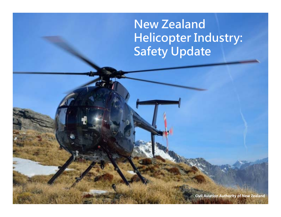**New Zealand Helicopter Industry: Safety Update**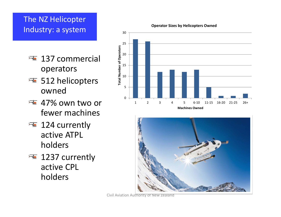# The NZ Helicopter Industry: <sup>a</sup> system

- 137 commercial operators
- 512 helicopters owned
- 47% own two or fewer machines
- 124 currently active ATPL holders
- 1237 currently active CPL holders

**Operator Sizes by Helicopters Owned**



**Machines Owned**

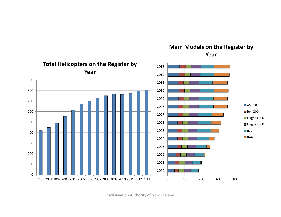

**Main Models on the Register by Year**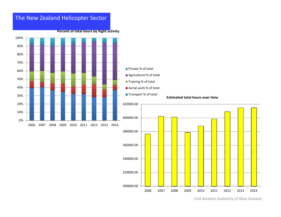

Civil Aviation Authority of New Zealand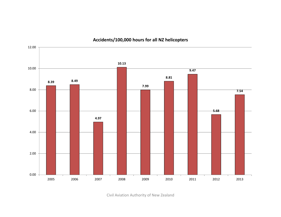

### **Accidents/100,000 hours for all NZ helicopters**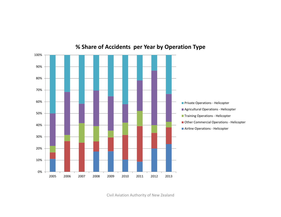

### **% Share of Accidents per Year by Operation Type**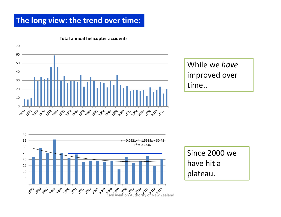## **The long view: the trend over time:**



#### **Total annual helicopter accidents**

While we *have* improved over time..



Since 2000 we have hit <sup>a</sup> plateau.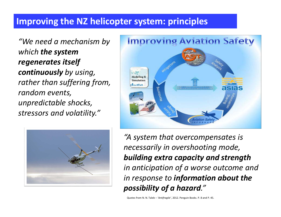# **Improving the NZ helicopter system: principles**

*"We need <sup>a</sup> mechanism by which the system regenerates itself continuously by using, rather than suffering from, random events, unpredictable shocks, stressors and volatility."*





*"A system that overcompensates is necessarily in overshooting mode, building extra capacity and strength in anticipation of <sup>a</sup> worse outcome and in response to information about the possibility of <sup>a</sup> hazard."*

Quotes from N. N. Taleb – *'Antifragile'*, 2012. Penguin Books. P. 8 and P. 45.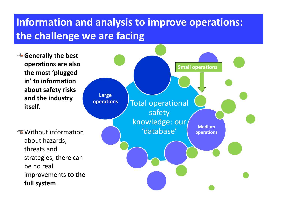# **Information and analysis to improve operations: the challenge we are facing**

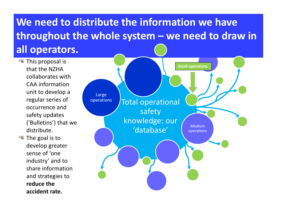# **We need to distribute the information we have throughout the whole system – we need to draw in all operators.**

- This proposal is that the NZHAcollaborates withCAA information unit to develop <sup>a</sup> regular series of occurrence andsafety updates ('Bulletins') that we distribute.
- The goal is to develop greater sense of 'one industry' and to share informationand strategies to **reduce the accident rate.**

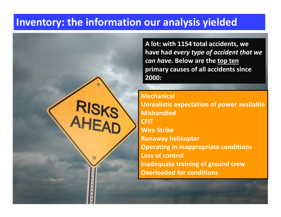# **Inventory: the information our analysis yielded**

**A lot: with 1154 total accidents, we have had** *every type of accident that we can have***. Below are the top ten primary causes of all accidents since 2000:**

**Mechanical Unrealistic expectation of power available MishandledCFITWire Strike Runaway helicopter Operating in inappropriate conditions Loss of control Inadequate training of ground crew Overloaded for conditions**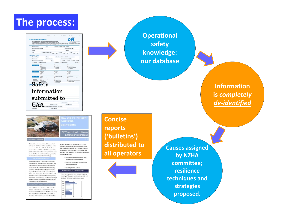

|                                                                                             | For Occurrence Notification please constitute the conficiable white creat on this born.<br>Then post or fox to GM as soon as passible. If fosing this form send to n44 4 140 9449<br>To report on occident or section position phane: 0504 ACCOONT (0504 222 413). Manitored 24 hours e day, assess dops a week.<br>To report atter refirs or results sensore phone ES36 45XFCTY (2536 472 338) Available after traces (rests mult after hours).<br>Remember - year can also get this Sam Fran the CAA Website and email to CADIS@coc.part.nz |                                                                                                                                                      | <b>KECK ALDWARTS</b><br>OF NEW ZEALAND<br>In these Revenuese Menamerica A.                                                                 |
|---------------------------------------------------------------------------------------------|-----------------------------------------------------------------------------------------------------------------------------------------------------------------------------------------------------------------------------------------------------------------------------------------------------------------------------------------------------------------------------------------------------------------------------------------------------------------------------------------------------------------------------------------------|------------------------------------------------------------------------------------------------------------------------------------------------------|--------------------------------------------------------------------------------------------------------------------------------------------|
| Date of accurrence                                                                          | Time                                                                                                                                                                                                                                                                                                                                                                                                                                                                                                                                          | NZST NZDT UTC Lenter                                                                                                                                 |                                                                                                                                            |
| Aircraft manufacturer and model                                                             |                                                                                                                                                                                                                                                                                                                                                                                                                                                                                                                                               |                                                                                                                                                      | Aircraft registration Z.K-                                                                                                                 |
| Operator                                                                                    |                                                                                                                                                                                                                                                                                                                                                                                                                                                                                                                                               |                                                                                                                                                      | Class ID                                                                                                                                   |
| POB                                                                                         | Number of injuries - Ford                                                                                                                                                                                                                                                                                                                                                                                                                                                                                                                     | Serious<br>Crew<br>Crew<br>Pos.                                                                                                                      | Miner<br>$P_{\text{SM}}$<br>Crew<br>$P_{\text{RF}}$                                                                                        |
| <b>Operational Details</b><br><b>Rete No. Call sign</b>                                     | Albitrade                                                                                                                                                                                                                                                                                                                                                                                                                                                                                                                                     | $\neg$ AGL<br>M <sub>6</sub>                                                                                                                         | $-m$<br>Runway used                                                                                                                        |
| Departure paint                                                                             | Destination point                                                                                                                                                                                                                                                                                                                                                                                                                                                                                                                             |                                                                                                                                                      | Nearest reporting point (NRP)                                                                                                              |
| Distance and bearing from NRP                                                               | NH                                                                                                                                                                                                                                                                                                                                                                                                                                                                                                                                            | $\Box$ VFR                                                                                                                                           | $\Box$ <sub>FR</sub><br>C VMC<br>$\square$ MC                                                                                              |
| Scheduled COR non-scheduled                                                                 |                                                                                                                                                                                                                                                                                                                                                                                                                                                                                                                                               | Danastic CR International                                                                                                                            | $TOM \square$                                                                                                                              |
| <b>Saltidae</b>                                                                             | Journeyer A to A<br>produced<br>wining dall<br>prima where<br>wher issuehit                                                                                                                                                                                                                                                                                                                                                                                                                                                                   | Paramager A to 1<br>I what said work<br>Treng rds<br><b>I</b> persphasing                                                                            | <b>Contractor</b><br><b>Instrume executive</b><br>test or lenylysalineing<br>andules of C'                                                 |
| <b>Highs phase</b>                                                                          | Tombad.<br>$-$<br>$\Box$ ormat<br>3 degree                                                                                                                                                                                                                                                                                                                                                                                                                                                                                                    | <b>Call motive</b><br>$\Box$ horse<br><b>Introduction</b><br>I spenagh                                                                               | $\Box$ when $\Box$<br>$\Box$ enter<br>$\Box$ halos<br><b>Theatre</b>                                                                       |
| <b>Next on Right</b><br>If another is a<br>syndhuse forme<br>telade is described<br>-Safety | $\mathbb{R}$<br>hão a protone<br><b>Devantage</b> served<br>$\Box$ seniori<br><b>Denisting set</b>                                                                                                                                                                                                                                                                                                                                                                                                                                            | <b>Bullet definent/increased and</b><br>anargencylpraceutismary daugent<br>sleeving someon<br>registed shockway<br>survey's kning<br>wher (specific) | <b>Textal Invest</b><br>mergencybrocationsy Boding<br><b>I</b> diversion<br>sipilization of own diperformance<br><b>Stringford Service</b> |
|                                                                                             | $\operatorname{information}$<br>submitted to                                                                                                                                                                                                                                                                                                                                                                                                                                                                                                  | Licence number<br>Flight hours on trop                                                                                                               | Total fight hours                                                                                                                          |
|                                                                                             | OCA (Campetency Assessment)                                                                                                                                                                                                                                                                                                                                                                                                                                                                                                                   | by a name                                                                                                                                            |                                                                                                                                            |

**Operational safety knowledge: our database**

> **Informationis** *completely de‐identified*

CFIT and object collision in transport operation

This bulletin is the product of a collaborative effort between the NZHA and CAA to establish and analyse an extensive dataset of all New Zealand helicopter accidents between 2000 and 2012. Its purpose is to distribute the results so that we may all learn as much been fatal<sup>8</sup>. Their analysis of CFIT accidents yielded these

as possible from the accidents of the past, and adapt our operations and procedures accordingly.

CFIT is defined by the FAA as 'when an airworthy aircraft is flown, under the control of a qualified pilot, into terrain (or water or obstacles) with inadequate awareness on the part of the pilot of the impending collision". Within this definition "terrain' is extended beyond fand surface' to include water and objects (wires, trees, fences, etc). The reason for this is that the factors underlying terrain collisions are generally the same as those underlying a/collisions; we will get a better understanding of the causes of the issue by looking at a wider pool of accidents ational research and fi

In their 2003 Advisory Circular on CFIT accidents in General Aviation the FAA stated that 17% of all GA accidents were CFIT, and that half of these occurred in IMC. In a 2006 study the ATSB found that 60% of Australia's CFIT accidents were fatal<sup>2</sup>. The IHST has

identified that while CEIT accidents are the 13ª most common accident type for helicopters, these accidents have a high fatalty rate: Like the ATSB report, the IHST has stated that 601% of helicopter CFIT accidents have

common causal factors:

. Disregarding cues that should have led to termination of flight or manoeuvre

· Insciequate consideration of weather during flight planning

Unsafe fight profile - Atitude Helicopter CFIT accidents in N2

#### There have been a total of 48 helicopter accidents involving CFIT or object collision between 2000 and 2012 with 16 fatalities and 5 serious injuries



**Concise reports ('bulletins') distributed to all operators**

**Causes assigned by NZHA committee; resiliencetechniques and strategies proposed.**